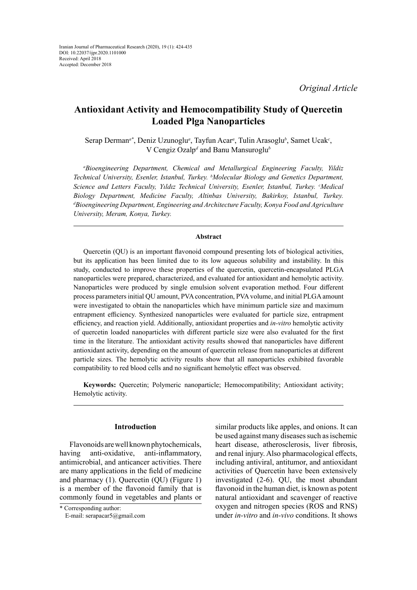*Original Article*

# **Antioxidant Activity and Hemocompatibility Study of Quercetin Loaded Plga Nanoparticles**

Serap Derman<sup>a\*</sup>, Deniz Uzunoglu<sup>a</sup>, Tayfun Acar<sup>a</sup>, Tulin Arasoglu<sup>b</sup>, Samet Ucak<sup>c</sup>, V Cengiz Ozalp<sup>d</sup> and Banu Mansuroglu<sup>b</sup>

*a Bioengineering Department, Chemical and Metallurgical Engineering Faculty, Yildiz Technical University, Esenler, Istanbul, Turkey. b Molecular Biology and Genetics Department,*  Science and Letters Faculty, Yıldız Technical University, Esenler, Istanbul, Turkey. <sup>*c*</sup>Medical *Biology Department, Medicine Faculty, Altinbas University, Bakirkoy, Istanbul, Turkey. d Bioengineering Department, Engineering and Architecture Faculty, Konya Food and Agriculture University, Meram, Konya, Turkey.*

## **Abstract**

Quercetin (QU) is an important flavonoid compound presenting lots of biological activities, but its application has been limited due to its low aqueous solubility and instability. In this study, conducted to improve these properties of the quercetin, quercetin-encapsulated PLGA nanoparticles were prepared, characterized, and evaluated for antioxidant and hemolytic activity. Nanoparticles were produced by single emulsion solvent evaporation method. Four different process parameters initial QU amount, PVA concentration, PVA volume, and initial PLGA amount were investigated to obtain the nanoparticles which have minimum particle size and maximum entrapment efficiency. Synthesized nanoparticles were evaluated for particle size, entrapment efficiency, and reaction yield. Additionally, antioxidant properties and *in-vitro* hemolytic activity of quercetin loaded nanoparticles with different particle size were also evaluated for the first time in the literature. The antioxidant activity results showed that nanoparticles have different antioxidant activity, depending on the amount of quercetin release from nanoparticles at different particle sizes. The hemolytic activity results show that all nanoparticles exhibited favorable compatibility to red blood cells and no significant hemolytic effect was observed.

**Keywords:** Quercetin; Polymeric nanoparticle; Hemocompatibility; Antioxidant activity; Hemolytic activity.

# **Introduction**

Flavonoids are well known phytochemicals, having anti-oxidative, anti-inflammatory, antimicrobial, and anticancer activities. There are many applications in the field of medicine and pharmacy (1). Quercetin (QU) (Figure 1) is a member of the flavonoid family that is commonly found in vegetables and plants or similar products like apples, and onions. It can be used against many diseases such as ischemic heart disease, atherosclerosis, liver fibrosis, and renal injury. Also pharmacological effects, including antiviral, antitumor, and antioxidant activities of Quercetin have been extensively investigated (2-6). QU, the most abundant flavonoid in the human diet, is known as potent natural antioxidant and scavenger of reactive oxygen and nitrogen species (ROS and RNS) under *in-vitro* and *in-vivo* conditions. It shows

<sup>\*</sup> Corresponding author:

E-mail: serapacar5@gmail.com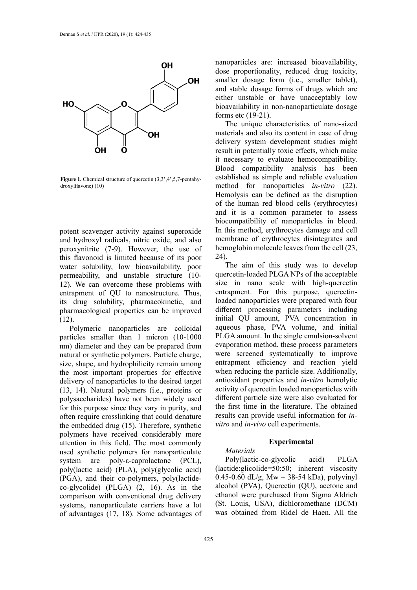

**Figure 1.** Chemical structure of quercetin (3,3',4',5,7-pentahydroxylflavone) (10)

potent scavenger activity against superoxide and hydroxyl radicals, nitric oxide, and also peroxynitrite (7-9). However, the use of this flavonoid is limited because of its poor water solubility, low bioavailability, poor permeability, and unstable structure (10- 12). We can overcome these problems with entrapment of QU to nanostructure. Thus, its drug solubility, pharmacokinetic, and pharmacological properties can be improved  $(12)$ .

Polymeric nanoparticles are colloidal particles smaller than 1 micron (10-1000 nm) diameter and they can be prepared from natural or synthetic polymers. Particle charge, size, shape, and hydrophilicity remain among the most important properties for effective delivery of nanoparticles to the desired target (13, 14). Natural polymers (i.e., proteins or polysaccharides) have not been widely used for this purpose since they vary in purity, and often require crosslinking that could denature the embedded drug (15). Therefore, synthetic polymers have received considerably more attention in this field. The most commonly used synthetic polymers for nanoparticulate system are poly-ε-caprolactone (PCL), poly(lactic acid) (PLA), poly(glycolic acid) (PGA), and their co-polymers, poly(lactideco-glycolide) (PLGA) (2, 16). As in the comparison with conventional drug delivery systems, nanoparticulate carriers have a lot of advantages (17, 18). Some advantages of nanoparticles are: increased bioavailability, dose proportionality, reduced drug toxicity, smaller dosage form (i.e., smaller tablet), and stable dosage forms of drugs which are either unstable or have unacceptably low bioavailability in non-nanoparticulate dosage forms etc (19-21).

The unique characteristics of nano-sized materials and also its content in case of drug delivery system development studies might result in potentially toxic effects, which make it necessary to evaluate hemocompatibility. Blood compatibility analysis has been established as simple and reliable evaluation method for nanoparticles *in-vitro* (22). Hemolysis can be defined as the disruption of the human red blood cells (erythrocytes) and it is a common parameter to assess biocompatibility of nanoparticles in blood. In this method, erythrocytes damage and cell membrane of erythrocytes disintegrates and hemoglobin molecule leaves from the cell (23, 24).

> The aim of this study was to develop quercetin-loaded PLGA NPs of the acceptable size in nano scale with high-quercetin entrapment. For this purpose, quercetinloaded nanoparticles were prepared with four different processing parameters including initial QU amount, PVA concentration in aqueous phase, PVA volume, and initial PLGA amount. In the single emulsion-solvent evaporation method, these process parameters were screened systematically to improve entrapment efficiency and reaction yield when reducing the particle size. Additionally, antioxidant properties and *in-vitro* hemolytic activity of quercetin loaded nanoparticles with different particle size were also evaluated for the first time in the literature. The obtained results can provide useful information for *invitro* and *in-vivo* cell experiments.

## **Experimental**

*Materials* Poly(lactic-co-glycolic acid) PLGA (lactide:glicolide=50:50; inherent viscosity 0.45-0.60 dL/g, Mw  $\sim$  38-54 kDa), polyvinyl alcohol (PVA), Quercetin (QU), acetone and ethanol were purchased from Sigma Aldrich (St. Louis, USA), dichloromethane (DCM) was obtained from Ridel de Haen. All the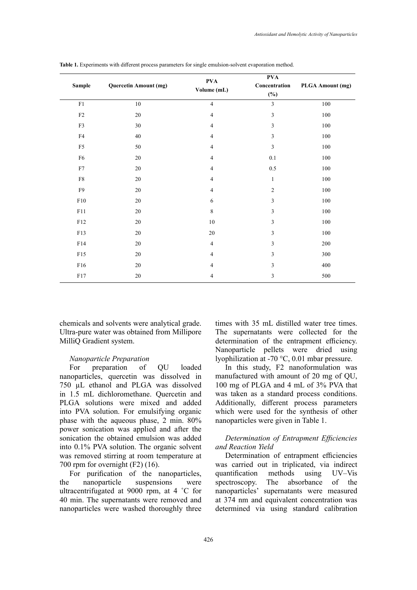| <b>Sample</b>  | <b>Quercetin Amount (mg)</b> | <b>PVA</b><br>Volume (mL) | <b>PVA</b><br>Concentration | PLGA Amount (mg) |
|----------------|------------------------------|---------------------------|-----------------------------|------------------|
|                |                              |                           | $(\%)$                      |                  |
| ${\rm F}1$     | $10\,$                       | $\overline{4}$            | $\mathfrak{Z}$              | $100\,$          |
| $\rm F2$       | 20                           | $\overline{\mathcal{A}}$  | $\mathfrak{Z}$              | $100\,$          |
| ${\rm F3}$     | 30                           | $\overline{\mathcal{A}}$  | 3                           | 100              |
| ${\rm F4}$     | 40                           | $\overline{\mathcal{A}}$  | $\mathfrak{Z}$              | $100\,$          |
| F <sub>5</sub> | 50                           | $\overline{4}$            | $\mathfrak{Z}$              | 100              |
| F <sub>6</sub> | 20                           | 4                         | 0.1                         | 100              |
| F7             | 20                           | 4                         | 0.5                         | 100              |
| ${\rm F}8$     | 20                           | $\overline{4}$            | $\mathbf{1}$                | 100              |
| ${\rm F}9$     | 20                           | $\overline{4}$            | $\overline{2}$              | 100              |
| F10            | 20                           | 6                         | 3                           | $100\,$          |
| F11            | $20\,$                       | $\,8\,$                   | 3                           | $100\,$          |
| F12            | 20                           | $10\,$                    | $\mathfrak{Z}$              | 100              |
| F13            | 20                           | 20                        | 3                           | 100              |
| F14            | 20                           | $\overline{4}$            | $\mathfrak{Z}$              | 200              |
| F15            | 20                           | $\overline{4}$            | $\mathfrak{Z}$              | 300              |
| F16            | 20                           | 4                         | $\mathfrak{Z}$              | 400              |
| ${\rm F}17$    | $20\,$                       | 4                         | $\mathfrak{Z}$              | 500              |

**Table 1.** Experiments with different process parameters for single emulsion-solvent evaporation method. **Table 1.** Experiments with different process parameters for single emulsion-solvent evaporation method.

chemicals and solvents were analytical grade. Ultra-pure water was obtained from Millipore MilliQ Gradient system.

#### *Nanoparticle Preparation*

For preparation of QU loaded nanoparticles, quercetin was dissolved in 750 µL ethanol and PLGA was dissolved in 1.5 mL dichloromethane. Quercetin and PLGA solutions were mixed and added into PVA solution. For emulsifying organic phase with the aqueous phase, 2 min. 80% power sonication was applied and after the sonication the obtained emulsion was added into 0.1% PVA solution. The organic solvent was removed stirring at room temperature at 700 rpm for overnight (F2) (16).

For purification of the nanoparticles, the nanoparticle suspensions were ultracentrifugated at 9000 rpm, at 4 ˚C for 40 min. The supernatants were removed and nanoparticles were washed thoroughly three

times with 35 mL distilled water tree times. The supernatants were collected for the determination of the entrapment efficiency. Nanoparticle pellets were dried using lyophilization at -70 °C, 0.01 mbar pressure.

In this study, F2 nanoformulation was manufactured with amount of 20 mg of QU, 100 mg of PLGA and 4 mL of 3% PVA that was taken as a standard process conditions. Additionally, different process parameters which were used for the synthesis of other nanoparticles were given in Table 1.

# *Determination of Entrapment Efficiencies and Reaction Yield*

Determination of entrapment efficiencies was carried out in triplicated, via indirect quantification methods using UV–Vis spectroscopy. The absorbance of the nanoparticles' supernatants were measured at 374 nm and equivalent concentration was determined via using standard calibration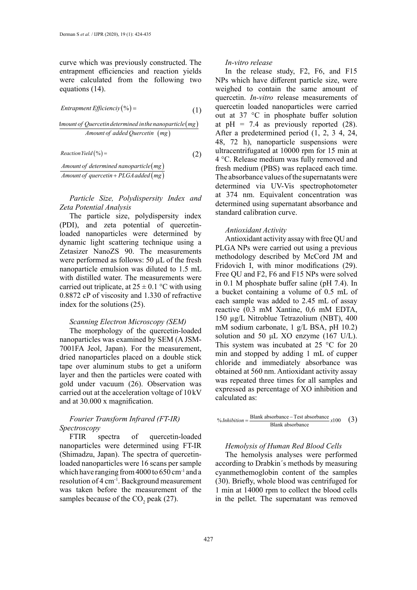curve which was previously constructed. The entrapment efficiencies and reaction yields were calculated from the following two equations (14).

$$
Entrapment \,Efficiency\, (*) = \qquad \qquad (1)
$$

$$
\frac{4mount of Quercet in determined in the nanoparticle (mg)}{Amount of added Quercetin (mg)}
$$

$$
Reaction Yield (\%) = \qquad (2)
$$

*Amount of determined nanoparticle* (*mg*) *Amount of determined nanoparticle*(mg)<br>*Amount of quercetin + PLGA added* (mg)

> *Particle Size, Polydispersity Index and Zeta Potential Analysis*

> The particle size, polydispersity index (PDI), and zeta potential of quercetinloaded nanoparticles were determined by dynamic light scattering technique using a Zetasizer NanoZS 90. The measurements were performed as follows: 50 µL of the fresh nanoparticle emulsion was diluted to 1.5 mL with distilled water. The measurements were carried out triplicate, at  $25 \pm 0.1$  °C with using 0.8872 cP of viscosity and 1.330 of refractive index for the solutions (25).

#### *Scanning Electron Microscopy (SEM)*

The morphology of the quercetin-loaded nanoparticles was examined by SEM (A JSM-7001FA Jeol, Japan). For the measurement, dried nanoparticles placed on a double stick tape over aluminum stubs to get a uniform layer and then the particles were coated with gold under vacuum (26). Observation was carried out at the acceleration voltage of 10 kV and at 30.000 x magnification.

# *Fourier Transform Infrared (FT-IR) Spectroscopy*

FTIR spectra of quercetin-loaded nanoparticles were determined using FT-IR (Shimadzu, Japan). The spectra of quercetinloaded nanoparticles were 16 scans per sample which have ranging from 4000 to 650 cm<sup>-1</sup> and a resolution of 4 cm-1. Background measurement was taken before the measurement of the samples because of the  $CO_2$  peak (27).

#### *In-vitro release*

*Entrapment Efficienciy*  $(\%) =$  (1)  $\frac{1}{\text{outer}}$  and anoparticles were carried  $\frac{1}{\text{outer}}$   $\frac{1}{\text{outer}}$   $\frac{1}{\text{outer}}$   $\frac{1}{\text{outer}}$ out at 37 °C in phosphate buffer solution In the release study, F2, F6, and F15 NPs which have different particle size, were weighed to contain the same amount of quercetin. *In-vitro* release measurements of at  $pH = 7.4$  as previously reported (28). After a predetermined period (1, 2, 3 4, 24, 48, 72 h), nanoparticle suspensions were ultracentrifugated at 10000 rpm for 15 min at 4 °C. Release medium was fully removed and fresh medium (PBS) was replaced each time. The absorbance values of the supernatants were determined via UV-Vis spectrophotometer at 374 nm. Equivalent concentration was determined using supernatant absorbance and standard calibration curve.

#### *Antioxidant Activity*

Antioxidant activity assay with free QU and PLGA NPs were carried out using a previous methodology described by McCord JM and Fridovich I, with minor modifications (29). Free QU and F2, F6 and F15 NPs were solved in 0.1 M phosphate buffer saline (pH 7.4). In a bucket containing a volume of 0.5 mL of each sample was added to 2.45 mL of assay reactive (0.3 mM Xantine, 0,6 mM EDTA, 150 µg/L Nitroblue Tetrazolium (NBT), 400 mM sodium carbonate, 1 g/L BSA, pH 10.2) solution and 50 μL XO enzyme (167 U/L). This system was incubated at 25 °C for 20 min and stopped by adding 1 mL of cupper chloride and immediately absorbance was obtained at 560 nm. Antioxidant activity assay was repeated three times for all samples and expressed as percentage of XO inhibition and calculated as:

$$
\% Inhibition = \frac{\text{Blank absorbance} - \text{Test absorbance}}{\text{Blank absorbance}} \times 100 \quad (3)
$$

## *Hemolysis of Human Red Blood Cells*

The hemolysis analyses were performed according to Drabkin´s methods by measuring cyanmethemoglobin content of the samples (30). Briefly, whole blood was centrifuged for 1 min at 14000 rpm to collect the blood cells in the pellet. The supernatant was removed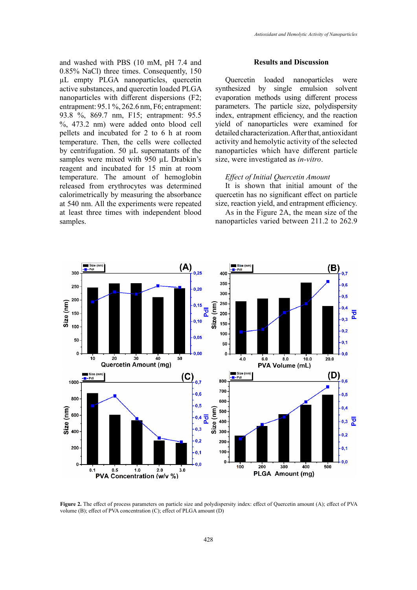and washed with PBS (10 mM, pH 7.4 and 0.85% NaCl) three times. Consequently, 150 µL empty PLGA nanoparticles, quercetin active substances, and quercetin loaded PLGA nanoparticles with different dispersions (F2; entrapment: 95.1 %, 262.6 nm, F6; entrapment: 93.8 %, 869.7 nm, F15; entrapment: 95.5 %, 473.2 nm) were added onto blood cell pellets and incubated for 2 to 6 h at room temperature. Then, the cells were collected by centrifugation. 50 µL supernatants of the samples were mixed with 950 µL Drabkin's reagent and incubated for 15 min at room temperature. The amount of hemoglobin released from erythrocytes was determined calorimetrically by measuring the absorbance at 540 nm. All the experiments were repeated at least three times with independent blood samples.

#### **Results and Discussion**

Quercetin loaded nanoparticles were synthesized by single emulsion solvent evaporation methods using different process parameters. The particle size, polydispersity index, entrapment efficiency, and the reaction yield of nanoparticles were examined for detailed characterization. After that, antioxidant activity and hemolytic activity of the selected nanoparticles which have different particle size, were investigated as *in-vitro*.

## *Effect of Initial Quercetin Amount*

It is shown that initial amount of the quercetin has no significant effect on particle size, reaction yield, and entrapment efficiency.

As in the Figure 2A, the mean size of the nanoparticles varied between 211.2 to 262.9



volume (B); effect of PVA concentration (C); effect of PLGA amount  $(D)$ **Figure 2.** The effect of process parameters on particle size and polydispersity index: effect of Quercetin amount (A); effect of PVA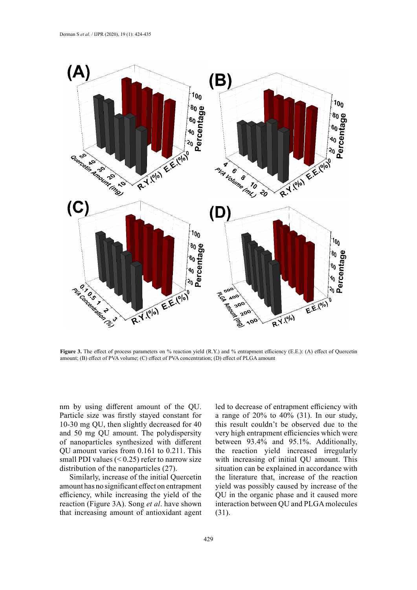

amount;  $(B)$  effect of PVA volume;  $(C)$  effect of PVA concentration;  $(D)$  effect of PLGA amount **Figure 3.** The effect of process parameters on % reaction yield (R.Y.) and % entrapment efficiency (E.E.): (A) effect of Quercetin

nm by using different amount of the QU. Particle size was firstly stayed constant for 10-30 mg QU, then slightly decreased for 40 and 50 mg QU amount. The polydispersity of nanoparticles synthesized with different QU amount varies from 0.161 to 0.211. This small PDI values  $( $0.25$ ) refer to narrow size$ distribution of the nanoparticles (27).

Similarly, increase of the initial Quercetin amount has no significant effect on entrapment efficiency, while increasing the yield of the reaction (Figure 3A). Song *et al*. have shown that increasing amount of antioxidant agent

led to decrease of entrapment efficiency with a range of 20% to 40% (31). In our study, this result couldn't be observed due to the very high entrapment efficiencies which were between 93.4% and 95.1%. Additionally, the reaction yield increased irregularly with increasing of initial QU amount. This situation can be explained in accordance with the literature that, increase of the reaction yield was possibly caused by increase of the QU in the organic phase and it caused more interaction between QU and PLGA molecules (31).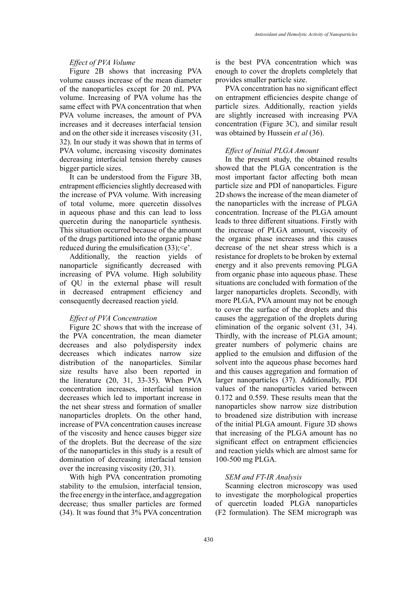# *Effect of PVA Volume*

Figure 2B shows that increasing PVA volume causes increase of the mean diameter of the nanoparticles except for 20 mL PVA volume. Increasing of PVA volume has the same effect with PVA concentration that when PVA volume increases, the amount of PVA increases and it decreases interfacial tension and on the other side it increases viscosity (31, 32). In our study it was shown that in terms of PVA volume, increasing viscosity dominates decreasing interfacial tension thereby causes bigger particle sizes.

It can be understood from the Figure 3B, entrapment efficiencies slightly decreased with the increase of PVA volume. With increasing of total volume, more quercetin dissolves in aqueous phase and this can lead to loss quercetin during the nanoparticle synthesis. This situation occurred because of the amount of the drugs partitioned into the organic phase reduced during the emulsification  $(33)$ ;  $\leq e$ <sup>2</sup>.

Additionally, the reaction yields of nanoparticle significantly decreased with increasing of PVA volume. High solubility of QU in the external phase will result in decreased entrapment efficiency and consequently decreased reaction yield.

## *Effect of PVA Concentration*

Figure 2C shows that with the increase of the PVA concentration, the mean diameter decreases and also polydispersity index decreases which indicates narrow size distribution of the nanoparticles. Similar size results have also been reported in the literature (20, 31, 33-35). When PVA concentration increases, interfacial tension decreases which led to important increase in the net shear stress and formation of smaller nanoparticles droplets. On the other hand, increase of PVA concentration causes increase of the viscosity and hence causes bigger size of the droplets. But the decrease of the size of the nanoparticles in this study is a result of domination of decreasing interfacial tension over the increasing viscosity (20, 31).

With high PVA concentration promoting stability to the emulsion, interfacial tension, the free energy in the interface, and aggregation decrease; thus smaller particles are formed (34). It was found that  $3\%$  PVA concentration

is the best PVA concentration which was enough to cover the droplets completely that provides smaller particle size.

PVA concentration has no significant effect on entrapment efficiencies despite change of particle sizes. Additionally, reaction yields are slightly increased with increasing PVA concentration (Figure 3C), and similar result was obtained by Hussein *et al* (36).

## *Effect of Initial PLGA Amount*

In the present study, the obtained results showed that the PLGA concentration is the most important factor affecting both mean particle size and PDI of nanoparticles. Figure 2D shows the increase of the mean diameter of the nanoparticles with the increase of PLGA concentration. Increase of the PLGA amount leads to three different situations. Firstly with the increase of PLGA amount, viscosity of the organic phase increases and this causes decrease of the net shear stress which is a resistance for droplets to be broken by external energy and it also prevents removing PLGA from organic phase into aqueous phase. These situations are concluded with formation of the larger nanoparticles droplets. Secondly, with more PLGA, PVA amount may not be enough to cover the surface of the droplets and this causes the aggregation of the droplets during elimination of the organic solvent (31, 34). Thirdly, with the increase of PLGA amount; greater numbers of polymeric chains are applied to the emulsion and diffusion of the solvent into the aqueous phase becomes hard and this causes aggregation and formation of larger nanoparticles (37). Additionally, PDI values of the nanoparticles varied between 0.172 and 0.559. These results mean that the nanoparticles show narrow size distribution to broadened size distribution with increase of the initial PLGA amount. Figure 3D shows that increasing of the PLGA amount has no significant effect on entrapment efficiencies and reaction yields which are almost same for 100-500 mg PLGA.

## *SEM and FT-IR Analysis*

Scanning electron microscopy was used to investigate the morphological properties of quercetin loaded PLGA nanoparticles (F2 formulation). The SEM micrograph was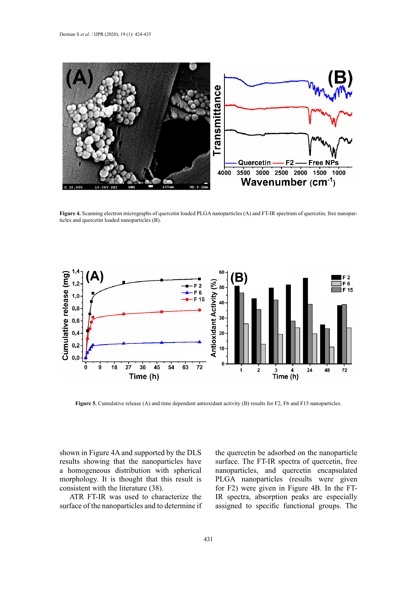

ticles and quercetin loaded nanoparticles (B). **Figure 4.** Scanning electron micrographs of quercetin loaded PLGA nanoparticles (A) and FT-IR spectrum of quercetin, free nanopar-



**Figure 5.** Cumulative release (A) and time dependent antioxidant activity (B) results for F2, F6 and F15 nanoparticles.

shown in Figure 4A and supported by the DLS results showing that the nanoparticles have a homogeneous distribution with spherical morphology. It is thought that this result is consistent with the literature (38).

ATR FT-IR was used to characterize the surface of the nanoparticles and to determine if the quercetin be adsorbed on the nanoparticle surface. The FT-IR spectra of quercetin, free nanoparticles, and quercetin encapsulated PLGA nanoparticles (results were given for F2) were given in Figure 4B. In the FT-IR spectra, absorption peaks are especially assigned to specific functional groups. The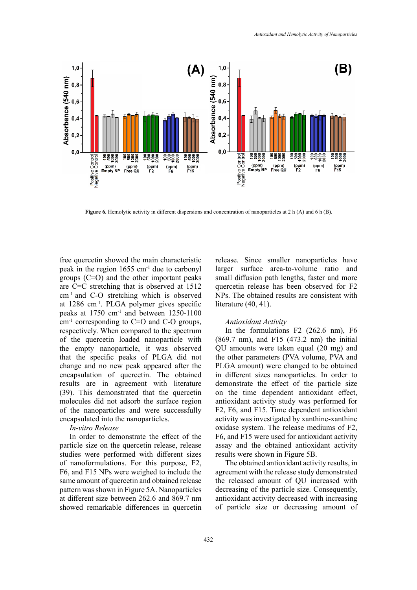

**Figure 6.** Hemolytic activity in different dispersions and concentration of nanoparticles at 2 h (A) and 6 h (B).

free quercetin showed the main characteristic peak in the region 1655 cm-1 due to carbonyl groups (C=O) and the other important peaks are C=C stretching that is observed at 1512 cm-1 and C-O stretching which is observed at 1286 cm-1. PLGA polymer gives specific peaks at 1750 cm-1 and between 1250-1100  $cm<sup>-1</sup>$  corresponding to C=O and C-O groups, respectively. When compared to the spectrum of the quercetin loaded nanoparticle with the empty nanoparticle, it was observed that the specific peaks of PLGA did not change and no new peak appeared after the encapsulation of quercetin. The obtained results are in agreement with literature (39). This demonstrated that the quercetin molecules did not adsorb the surface region of the nanoparticles and were successfully encapsulated into the nanoparticles.

## *In-vitro Release*

In order to demonstrate the effect of the particle size on the quercetin release, release studies were performed with different sizes of nanoformulations. For this purpose, F2, F6, and F15 NPs were weighed to include the same amount of quercetin and obtained release pattern was shown in Figure 5A. Nanoparticles at different size between 262.6 and 869.7 nm showed remarkable differences in quercetin

release. Since smaller nanoparticles have larger surface area-to-volume ratio and small diffusion path lengths, faster and more quercetin release has been observed for F2 NPs. The obtained results are consistent with literature (40, 41).

#### *Antioxidant Activity*

In the formulations F2 (262.6 nm), F6 (869.7 nm), and F15 (473.2 nm) the initial QU amounts were taken equal (20 mg) and the other parameters (PVA volume, PVA and PLGA amount) were changed to be obtained in different sizes nanoparticles. In order to demonstrate the effect of the particle size on the time dependent antioxidant effect, antioxidant activity study was performed for F2, F6, and F15. Time dependent antioxidant activity was investigated by xanthine-xanthine oxidase system. The release mediums of F2, F6, and F15 were used for antioxidant activity assay and the obtained antioxidant activity results were shown in Figure 5B.

The obtained antioxidant activity results, in agreement with the release study demonstrated the released amount of QU increased with decreasing of the particle size. Consequently, antioxidant activity decreased with increasing of particle size or decreasing amount of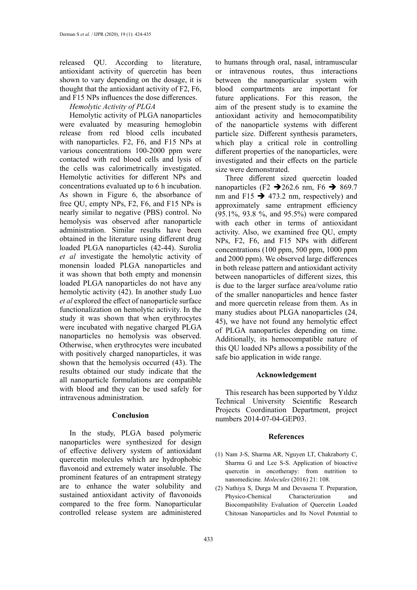released QU. According to literature, antioxidant activity of quercetin has been shown to vary depending on the dosage, it is thought that the antioxidant activity of F2, F6, and F15 NPs influences the dose differences.

*Hemolytic Activity of PLGA*

Hemolytic activity of PLGA nanoparticles were evaluated by measuring hemoglobin release from red blood cells incubated with nanoparticles. F2, F6, and F15 NPs at various concentrations 100-2000 ppm were contacted with red blood cells and lysis of the cells was calorimetrically investigated. Hemolytic activities for different NPs and concentrations evaluated up to 6 h incubation. As shown in Figure 6, the absorbance of free QU, empty NPs, F2, F6, and F15 NPs is nearly similar to negative (PBS) control. No hemolysis was observed after nanoparticle administration. Similar results have been obtained in the literature using different drug loaded PLGA nanoparticles (42-44). Surolia *et al* investigate the hemolytic activity of monensin loaded PLGA nanoparticles and it was shown that both empty and monensin loaded PLGA nanoparticles do not have any hemolytic activity (42). In another study Luo *et al* explored the effect of nanoparticle surface functionalization on hemolytic activity. In the study it was shown that when erythrocytes were incubated with negative charged PLGA nanoparticles no hemolysis was observed. Otherwise, when erythrocytes were incubated with positively charged nanoparticles, it was shown that the hemolysis occurred (43). The results obtained our study indicate that the all nanoparticle formulations are compatible with blood and they can be used safely for intravenous administration.

## **Conclusion**

In the study, PLGA based polymeric nanoparticles were synthesized for design of effective delivery system of antioxidant quercetin molecules which are hydrophobic flavonoid and extremely water insoluble. The prominent features of an entrapment strategy are to enhance the water solubility and sustained antioxidant activity of flavonoids compared to the free form. Nanoparticular controlled release system are administered

to humans through oral, nasal, intramuscular or intravenous routes, thus interactions between the nanoparticular system with blood compartments are important for future applications. For this reason, the aim of the present study is to examine the antioxidant activity and hemocompatibility of the nanoparticle systems with different particle size. Different synthesis parameters, which play a critical role in controlling different properties of the nanoparticles, were investigated and their effects on the particle size were demonstrated.

Three different sized quercetin loaded nanoparticles (F2  $\rightarrow$  262.6 nm, F6  $\rightarrow$  869.7 nm and F15  $\rightarrow$  473.2 nm, respectively) and approximately same entrapment efficiency (95.1%, 93.8 %, and 95.5%) were compared with each other in terms of antioxidant activity. Also, we examined free QU, empty NPs, F2, F6, and F15 NPs with different concentrations (100 ppm, 500 ppm, 1000 ppm and 2000 ppm). We observed large differences in both release pattern and antioxidant activity between nanoparticles of different sizes, this is due to the larger surface area/volume ratio of the smaller nanoparticles and hence faster and more quercetin release from them. As in many studies about PLGA nanoparticles (24, 45), we have not found any hemolytic effect of PLGA nanoparticles depending on time. Additionally, its hemocompatible nature of this QU loaded NPs allows a possibility of the safe bio application in wide range.

## **Acknowledgement**

This research has been supported by Yıldız Technical University Scientific Research Projects Coordination Department, project numbers 2014-07-04-GEP03.

## **References**

- (1) Nam J-S, Sharma AR, Nguyen LT, Chakraborty C, Sharma G and Lee S-S. Application of bioactive quercetin in oncotherapy: from nutrition to nanomedicine*. Molecules* (2016) 21: 108.
- (2) Nathiya S, Durga M and Devasena T. Preparation, Physico-Chemical Characterization and Biocompatibility Evaluation of Quercetin Loaded Chitosan Nanoparticles and Its Novel Potential to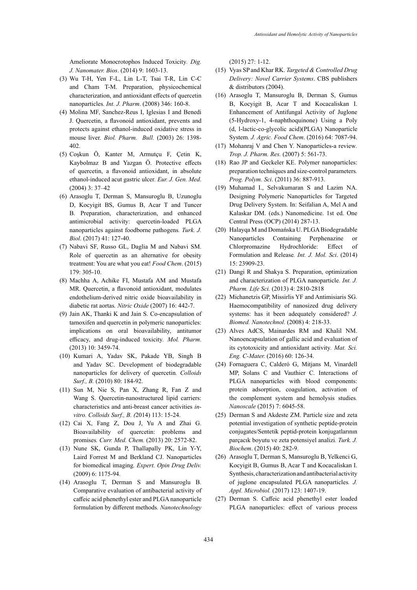Ameliorate Monocrotophos Induced Toxicity*. Dig. J. Nanomater. Bios*. (2014) 9: 1603-13.

- (3) Wu T-H, Yen F-L, Lin L-T, Tsai T-R, Lin C-C and Cham T-M. Preparation, physicochemical characterization, and antioxidant effects of quercetin nanoparticles*. Int. J. Pharm*. (2008) 346: 160-8.
- (4) Molina MF, Sanchez-Reus I, Iglesias I and Benedi J. Quercetin, a flavonoid antioxidant, prevents and protects against ethanol-induced oxidative stress in mouse liver*. Biol. Pharm. Bull.* (2003) 26: 1398- 402.
- (5) Coşkun Ö, Kanter M, Armutçu F, Çetin K, Kaybolmaz B and Yazgan Ö. Protective effects of quercetin, a flavonoid antioxidant, in absolute ethanol-induced acut gastric ulcer*. Eur. J. Gen. Med*. (2004) 3: 37–42
- (6) Arasoglu T, Derman S, Mansuroglu B, Uzunoglu D, Kocyigit BS, Gumus B, Acar T and Tuncer B. Preparation, characterization, and enhanced antimicrobial activity: quercetin-loaded PLGA nanoparticles against foodborne pathogens*. Turk. J. Biol*. (2017) 41: 127-40.
- (7) Nabavi SF, Russo GL, Daglia M and Nabavi SM. Role of quercetin as an alternative for obesity treatment: You are what you eat! *Food Chem*. (2015) 179: 305-10.
- (8) Machha A, Achike FI, Mustafa AM and Mustafa MR. Quercetin, a flavonoid antioxidant, modulates endothelium-derived nitric oxide bioavailability in diabetic rat aortas*. Nitric Oxide* (2007) 16: 442-7.
- (9) Jain AK, Thanki K and Jain S. Co-encapsulation of tamoxifen and quercetin in polymeric nanoparticles: implications on oral bioavailability, antitumor efficacy, and drug-induced toxicity*. Mol. Pharm*. (2013) 10: 3459-74.
- (10) Kumari A, Yadav SK, Pakade YB, Singh B and Yadav SC. Development of biodegradable nanoparticles for delivery of quercetin*. Colloids Surf., B.* (2010) 80: 184-92.
- (11) Sun M, Nie S, Pan X, Zhang R, Fan Z and Wang S. Quercetin-nanostructured lipid carriers: characteristics and anti-breast cancer activities *invitro. Colloids Surf., B. (*2014) 113: 15-24.
- (12) Cai X, Fang Z, Dou J, Yu A and Zhai G. Bioavailability of quercetin: problems and promises*. Curr. Med. Chem.* (2013) 20: 2572-82.
- (13) Nune SK, Gunda P, Thallapally PK, Lin Y-Y, Laird Forrest M and Berkland CJ. Nanoparticles for biomedical imaging*. Expert. Opin Drug Deliv.* (2009) 6: 1175-94.
- (14) Arasoglu T, Derman S and Mansuroglu B. Comparative evaluation of antibacterial activity of caffeic acid phenethyl ester and PLGA nanoparticle formulation by different methods*. Nanotechnology*

(2015) 27: 1-12.

- (15) Vyas SP and Khar RK. *Targeted & Controlled Drug Delivery: Novel Carrier Systems*. CBS publishers & distributors (2004).
- (16) Arasoglu T, Mansuroglu B, Derman S, Gumus B, Kocyigit B, Acar T and Kocacaliskan I. Enhancement of Antifungal Activity of Juglone (5-Hydroxy-1, 4-naphthoquinone) Using a Poly (d, l-lactic-co-glycolic acid)(PLGA) Nanoparticle System*. J. Agric. Food Chem*. (2016) 64: 7087-94.
- (17) Mohanraj V and Chen Y. Nanoparticles-a review*. Trop. J. Pharm. Res.* (2007) 5: 561-73.
- (18) Rao JP and Geckeler KE. Polymer nanoparticles: preparation techniques and size-control parameters*. Prog. Polym. Sci*. (2011) 36: 887-913.
- (19) Muhamad I., Selvakumaran S and Lazim NA. Designing Polymeric Nanoparticles for Targeted Drug Delivery System. In: Seifalian A, Mel A and Kalaskar DM. (eds.) Nanomedicine. 1st ed. One Central Press (OCP) (2014) 287-13.
- (20) Halayqa M and Domańska U. PLGA Biodegradable Nanoparticles Containing Perphenazine or Chlorpromazine Hydrochloride: Effect of Formulation and Release*. Int. J. Mol. Sci*. (2014) 15: 23909-23.
- (21) Dangi R and Shakya S. Preparation, optimization and characterization of PLGA nanoparticle*. Int. J. Pharm. Life Sci.* (2013) 4: 2810-2818
- (22) Michanetzis GP, Missirlis YF and Antimisiaris SG. Haemocompatibility of nanosized drug delivery systems: has it been adequately considered? *J. Biomed. Nanotechnol.* (2008) 4: 218-33.
- (23) Alves AdCS, Mainardes RM and Khalil NM. Nanoencapsulation of gallic acid and evaluation of its cytotoxicity and antioxidant activity*. Mat. Sci. Eng. C-Mater.* (2016) 60: 126-34.
- (24) Fornaguera C, Calderó G, Mitjans M, Vinardell MP, Solans C and Vauthier C. Interactions of PLGA nanoparticles with blood components: protein adsorption, coagulation, activation of the complement system and hemolysis studies*. Nanoscale* (2015) 7: 6045-58.
- (25) Derman S and Akdeste ZM. Particle size and zeta potential investigation of synthetic peptide-protein conjugates/Sentetik peptid-protein konjugatlarının parçacık boyutu ve zeta potensiyel analizi*. Turk. J. Biochem*. (2015) 40: 282-9.
- (26) Arasoglu T, Derman S, Mansuroglu B, Yelkenci G, Kocyigit B, Gumus B, Acar T and Kocacaliskan I. Synthesis, characterization and antibacterial activity of juglone encapsulated PLGA nanoparticles*. J. Appl. Microbiol.* (2017) 123: 1407-19.
- (27) Derman S. Caffeic acid phenethyl ester loaded PLGA nanoparticles: effect of various process